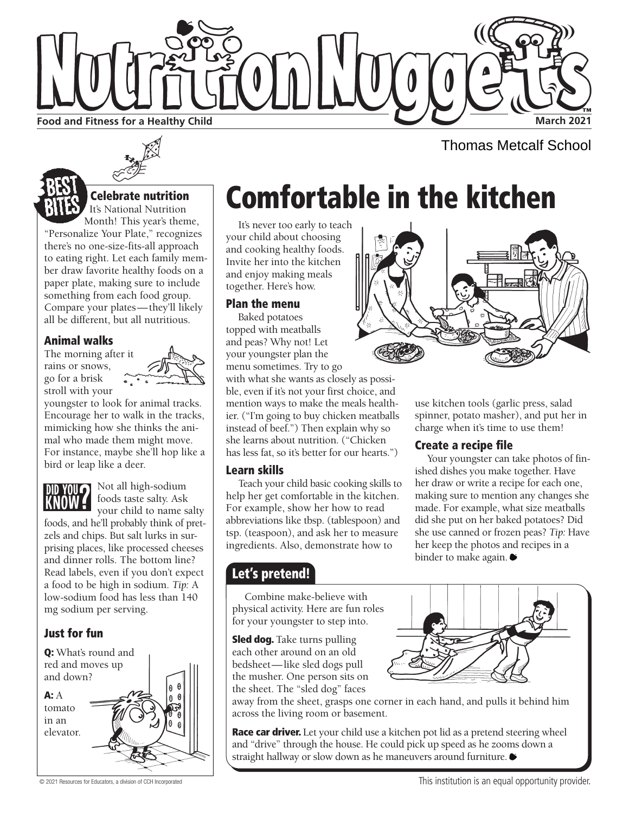

Thomas Metcalf School



It's National Nutrition Month! This year's theme, "Personalize Your Plate," recognizes there's no one-size-fits-all approach

to eating right. Let each family member draw favorite healthy foods on a paper plate, making sure to include something from each food group. Compare your plates—they'll likely all be different, but all nutritious.

#### Animal walks

The morning after it rains or snows, go for a brisk stroll with your



youngster to look for animal tracks. Encourage her to walk in the tracks, mimicking how she thinks the animal who made them might move. For instance, maybe she'll hop like a bird or leap like a deer.



**Not all high-sodium** foods taste salty. Ask

your child to name salty foods, and he'll probably think of pretzels and chips. But salt lurks in surprising places, like processed cheeses and dinner rolls. The bottom line? Read labels, even if you don't expect a food to be high in sodium. *Tip:* A low-sodium food has less than 140 mg sodium per serving.

### Just for fun



# Celebrate nutrition **Comfortable in the kitchen**

It's never too early to teach your child about choosing and cooking healthy foods. Invite her into the kitchen and enjoy making meals together. Here's how.

#### Plan the menu

Baked potatoes topped with meatballs and peas? Why not! Let your youngster plan the menu sometimes. Try to go

with what she wants as closely as possible, even if it's not your first choice, and mention ways to make the meals healthier. ("I'm going to buy chicken meatballs instead of beef.") Then explain why so she learns about nutrition. ("Chicken has less fat, so it's better for our hearts.")

#### Learn skills

Teach your child basic cooking skills to help her get comfortable in the kitchen. For example, show her how to read abbreviations like tbsp. (tablespoon) and tsp. (teaspoon), and ask her to measure ingredients. Also, demonstrate how to

### Let's pretend!

Combine make-believe with physical activity. Here are fun roles for your youngster to step into.

Sled dog. Take turns pulling each other around on an old bedsheet—like sled dogs pull the musher. One person sits on the sheet. The "sled dog" faces



**Race car driver.** Let your child use a kitchen pot lid as a pretend steering wheel and "drive" through the house. He could pick up speed as he zooms down a straight hallway or slow down as he maneuvers around furniture.



use kitchen tools (garlic press, salad spinner, potato masher), and put her in charge when it's time to use them!

#### Create a recipe file

Your youngster can take photos of finished dishes you make together. Have her draw or write a recipe for each one, making sure to mention any changes she made. For example, what size meatballs did she put on her baked potatoes? Did she use canned or frozen peas? *Tip:* Have her keep the photos and recipes in a binder to make again.